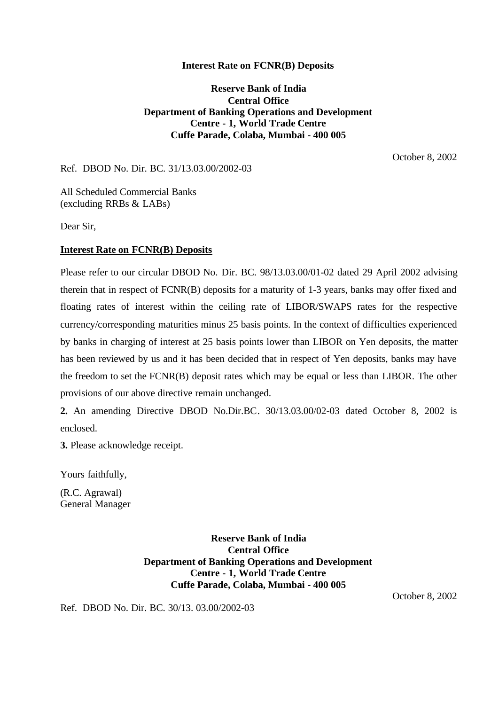## **Interest Rate on FCNR(B) Deposits**

**Reserve Bank of India Central Office Department of Banking Operations and Development Centre - 1, World Trade Centre Cuffe Parade, Colaba, Mumbai - 400 005**

October 8, 2002

Ref. DBOD No. Dir. BC. 31/13.03.00/2002-03

All Scheduled Commercial Banks (excluding RRBs & LABs)

Dear Sir,

## **Interest Rate on FCNR(B) Deposits**

Please refer to our circular DBOD No. Dir. BC. 98/13.03.00/01-02 dated 29 April 2002 advising therein that in respect of FCNR(B) deposits for a maturity of 1-3 years, banks may offer fixed and floating rates of interest within the ceiling rate of LIBOR/SWAPS rates for the respective currency/corresponding maturities minus 25 basis points. In the context of difficulties experienced by banks in charging of interest at 25 basis points lower than LIBOR on Yen deposits, the matter has been reviewed by us and it has been decided that in respect of Yen deposits, banks may have the freedom to set the FCNR(B) deposit rates which may be equal or less than LIBOR. The other provisions of our above directive remain unchanged.

**2.** An amending Directive DBOD No.Dir.BC. 30/13.03.00/02-03 dated October 8, 2002 is enclosed.

**3.** Please acknowledge receipt.

Yours faithfully,

(R.C. Agrawal) General Manager

> **Reserve Bank of India Central Office Department of Banking Operations and Development Centre - 1, World Trade Centre Cuffe Parade, Colaba, Mumbai - 400 005**

> > October 8, 2002

Ref. DBOD No. Dir. BC. 30/13. 03.00/2002-03